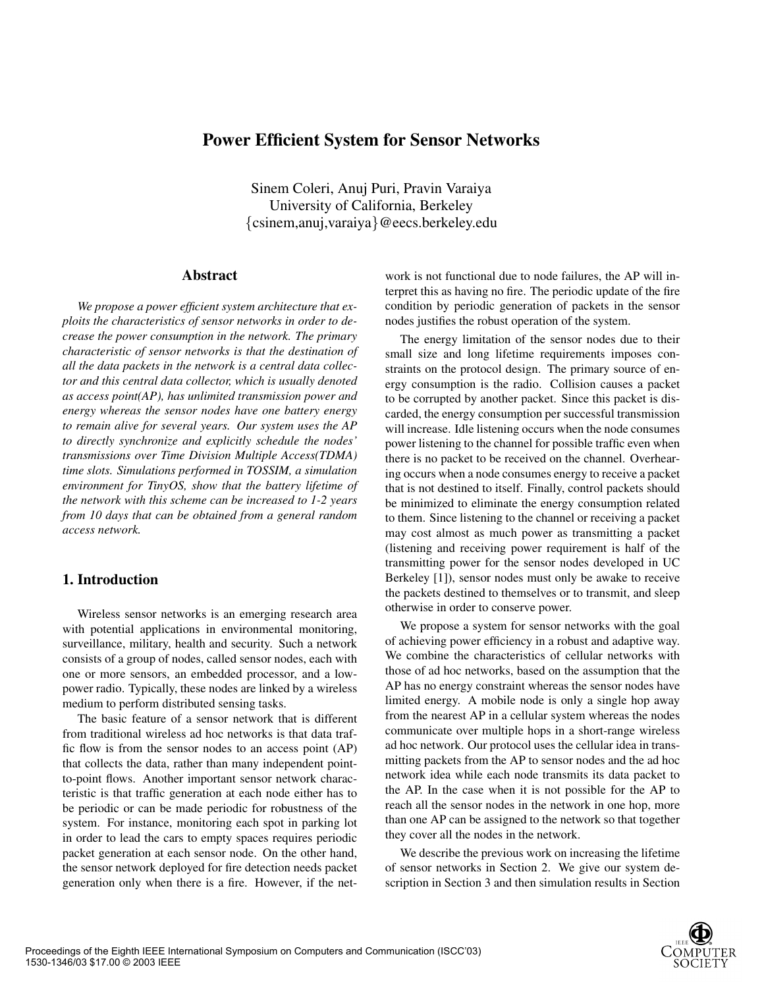# **Power Efficient System for Sensor Networks**

Sinem Coleri, Anuj Puri, Pravin Varaiya University of California, Berkeley *{*csinem,anuj,varaiya*}*@eecs.berkeley.edu

## **Abstract**

*We propose a power efficient system architecture that exploits the characteristics of sensor networks in order to decrease the power consumption in the network. The primary characteristic of sensor networks is that the destination of all the data packets in the network is a central data collector and this central data collector, which is usually denoted as access point(AP), has unlimited transmission power and energy whereas the sensor nodes have one battery energy to remain alive for several years. Our system uses the AP to directly synchronize and explicitly schedule the nodes' transmissions over Time Division Multiple Access(TDMA) time slots. Simulations performed in TOSSIM, a simulation environment for TinyOS, show that the battery lifetime of the network with this scheme can be increased to 1-2 years from 10 days that can be obtained from a general random access network.*

## **1. Introduction**

Wireless sensor networks is an emerging research area with potential applications in environmental monitoring, surveillance, military, health and security. Such a network consists of a group of nodes, called sensor nodes, each with one or more sensors, an embedded processor, and a lowpower radio. Typically, these nodes are linked by a wireless medium to perform distributed sensing tasks.

The basic feature of a sensor network that is different from traditional wireless ad hoc networks is that data traffic flow is from the sensor nodes to an access point (AP) that collects the data, rather than many independent pointto-point flows. Another important sensor network characteristic is that traffic generation at each node either has to be periodic or can be made periodic for robustness of the system. For instance, monitoring each spot in parking lot in order to lead the cars to empty spaces requires periodic packet generation at each sensor node. On the other hand, the sensor network deployed for fire detection needs packet generation only when there is a fire. However, if the network is not functional due to node failures, the AP will interpret this as having no fire. The periodic update of the fire condition by periodic generation of packets in the sensor nodes justifies the robust operation of the system.

The energy limitation of the sensor nodes due to their small size and long lifetime requirements imposes constraints on the protocol design. The primary source of energy consumption is the radio. Collision causes a packet to be corrupted by another packet. Since this packet is discarded, the energy consumption per successful transmission will increase. Idle listening occurs when the node consumes power listening to the channel for possible traffic even when there is no packet to be received on the channel. Overhearing occurs when a node consumes energy to receive a packet that is not destined to itself. Finally, control packets should be minimized to eliminate the energy consumption related to them. Since listening to the channel or receiving a packet may cost almost as much power as transmitting a packet (listening and receiving power requirement is half of the transmitting power for the sensor nodes developed in UC Berkeley [1]), sensor nodes must only be awake to receive the packets destined to themselves or to transmit, and sleep otherwise in order to conserve power.

We propose a system for sensor networks with the goal of achieving power efficiency in a robust and adaptive way. We combine the characteristics of cellular networks with those of ad hoc networks, based on the assumption that the AP has no energy constraint whereas the sensor nodes have limited energy. A mobile node is only a single hop away from the nearest AP in a cellular system whereas the nodes communicate over multiple hops in a short-range wireless ad hoc network. Our protocol uses the cellular idea in transmitting packets from the AP to sensor nodes and the ad hoc network idea while each node transmits its data packet to the AP. In the case when it is not possible for the AP to reach all the sensor nodes in the network in one hop, more than one AP can be assigned to the network so that together they cover all the nodes in the network.

We describe the previous work on increasing the lifetime of sensor networks in Section 2. We give our system description in Section 3 and then simulation results in Section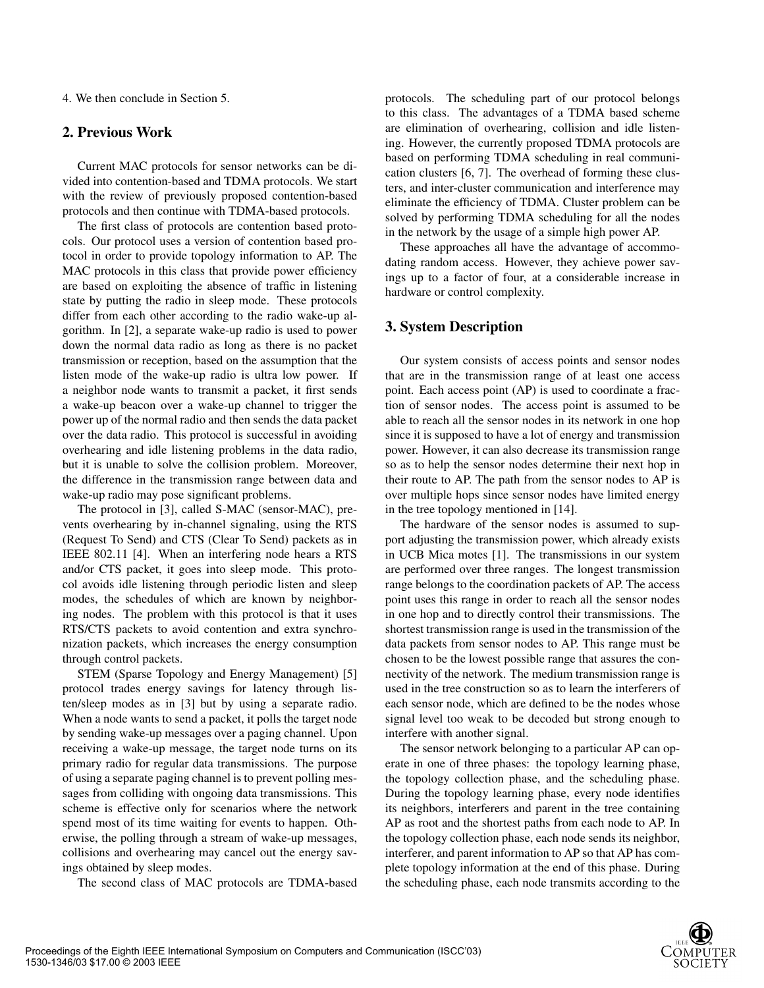4. We then conclude in Section 5.

## **2. Previous Work**

Current MAC protocols for sensor networks can be divided into contention-based and TDMA protocols. We start with the review of previously proposed contention-based protocols and then continue with TDMA-based protocols.

The first class of protocols are contention based protocols. Our protocol uses a version of contention based protocol in order to provide topology information to AP. The MAC protocols in this class that provide power efficiency are based on exploiting the absence of traffic in listening state by putting the radio in sleep mode. These protocols differ from each other according to the radio wake-up algorithm. In [2], a separate wake-up radio is used to power down the normal data radio as long as there is no packet transmission or reception, based on the assumption that the listen mode of the wake-up radio is ultra low power. If a neighbor node wants to transmit a packet, it first sends a wake-up beacon over a wake-up channel to trigger the power up of the normal radio and then sends the data packet over the data radio. This protocol is successful in avoiding overhearing and idle listening problems in the data radio, but it is unable to solve the collision problem. Moreover, the difference in the transmission range between data and wake-up radio may pose significant problems.

The protocol in [3], called S-MAC (sensor-MAC), prevents overhearing by in-channel signaling, using the RTS (Request To Send) and CTS (Clear To Send) packets as in IEEE 802.11 [4]. When an interfering node hears a RTS and/or CTS packet, it goes into sleep mode. This protocol avoids idle listening through periodic listen and sleep modes, the schedules of which are known by neighboring nodes. The problem with this protocol is that it uses RTS/CTS packets to avoid contention and extra synchronization packets, which increases the energy consumption through control packets.

STEM (Sparse Topology and Energy Management) [5] protocol trades energy savings for latency through listen/sleep modes as in [3] but by using a separate radio. When a node wants to send a packet, it polls the target node by sending wake-up messages over a paging channel. Upon receiving a wake-up message, the target node turns on its primary radio for regular data transmissions. The purpose of using a separate paging channel is to prevent polling messages from colliding with ongoing data transmissions. This scheme is effective only for scenarios where the network spend most of its time waiting for events to happen. Otherwise, the polling through a stream of wake-up messages, collisions and overhearing may cancel out the energy savings obtained by sleep modes.

The second class of MAC protocols are TDMA-based

protocols. The scheduling part of our protocol belongs to this class. The advantages of a TDMA based scheme are elimination of overhearing, collision and idle listening. However, the currently proposed TDMA protocols are based on performing TDMA scheduling in real communication clusters [6, 7]. The overhead of forming these clusters, and inter-cluster communication and interference may eliminate the efficiency of TDMA. Cluster problem can be solved by performing TDMA scheduling for all the nodes in the network by the usage of a simple high power AP.

These approaches all have the advantage of accommodating random access. However, they achieve power savings up to a factor of four, at a considerable increase in hardware or control complexity.

### **3. System Description**

Our system consists of access points and sensor nodes that are in the transmission range of at least one access point. Each access point (AP) is used to coordinate a fraction of sensor nodes. The access point is assumed to be able to reach all the sensor nodes in its network in one hop since it is supposed to have a lot of energy and transmission power. However, it can also decrease its transmission range so as to help the sensor nodes determine their next hop in their route to AP. The path from the sensor nodes to AP is over multiple hops since sensor nodes have limited energy in the tree topology mentioned in [14].

The hardware of the sensor nodes is assumed to support adjusting the transmission power, which already exists in UCB Mica motes [1]. The transmissions in our system are performed over three ranges. The longest transmission range belongs to the coordination packets of AP. The access point uses this range in order to reach all the sensor nodes in one hop and to directly control their transmissions. The shortest transmission range is used in the transmission of the data packets from sensor nodes to AP. This range must be chosen to be the lowest possible range that assures the connectivity of the network. The medium transmission range is used in the tree construction so as to learn the interferers of each sensor node, which are defined to be the nodes whose signal level too weak to be decoded but strong enough to interfere with another signal.

The sensor network belonging to a particular AP can operate in one of three phases: the topology learning phase, the topology collection phase, and the scheduling phase. During the topology learning phase, every node identifies its neighbors, interferers and parent in the tree containing AP as root and the shortest paths from each node to AP. In the topology collection phase, each node sends its neighbor, interferer, and parent information to AP so that AP has complete topology information at the end of this phase. During the scheduling phase, each node transmits according to the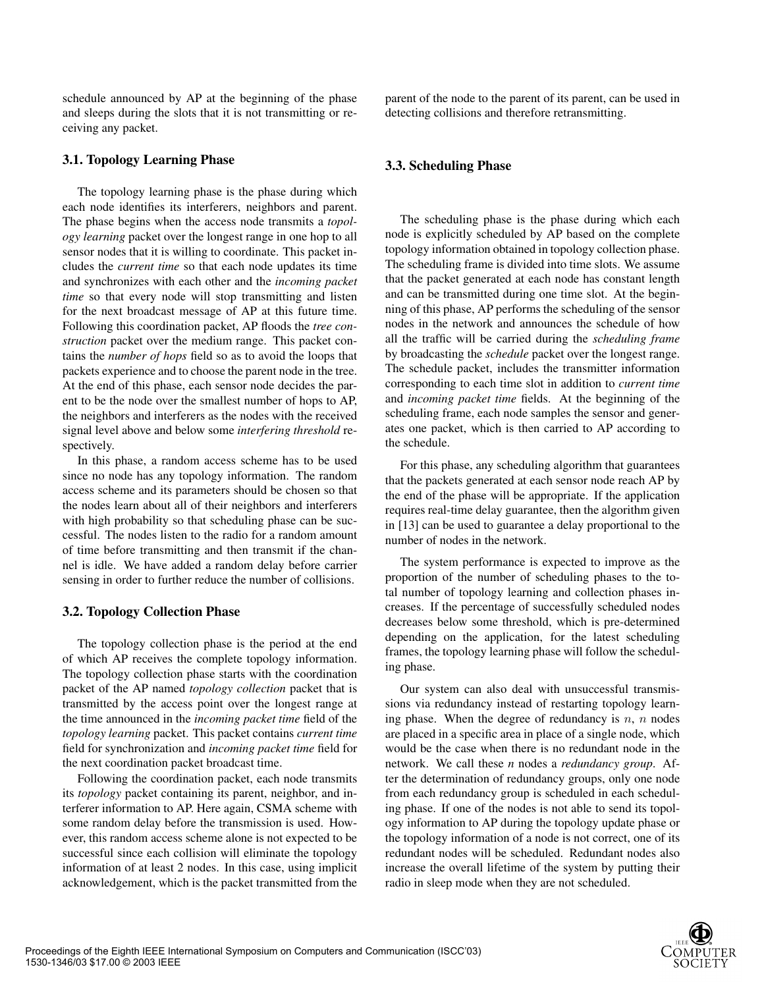schedule announced by AP at the beginning of the phase and sleeps during the slots that it is not transmitting or receiving any packet.

#### **3.1. Topology Learning Phase**

The topology learning phase is the phase during which each node identifies its interferers, neighbors and parent. The phase begins when the access node transmits a *topology learning* packet over the longest range in one hop to all sensor nodes that it is willing to coordinate. This packet includes the *current time* so that each node updates its time and synchronizes with each other and the *incoming packet time* so that every node will stop transmitting and listen for the next broadcast message of AP at this future time. Following this coordination packet, AP floods the *tree construction* packet over the medium range. This packet contains the *number of hops* field so as to avoid the loops that packets experience and to choose the parent node in the tree. At the end of this phase, each sensor node decides the parent to be the node over the smallest number of hops to AP, the neighbors and interferers as the nodes with the received signal level above and below some *interfering threshold* respectively.

In this phase, a random access scheme has to be used since no node has any topology information. The random access scheme and its parameters should be chosen so that the nodes learn about all of their neighbors and interferers with high probability so that scheduling phase can be successful. The nodes listen to the radio for a random amount of time before transmitting and then transmit if the channel is idle. We have added a random delay before carrier sensing in order to further reduce the number of collisions.

### **3.2. Topology Collection Phase**

The topology collection phase is the period at the end of which AP receives the complete topology information. The topology collection phase starts with the coordination packet of the AP named *topology collection* packet that is transmitted by the access point over the longest range at the time announced in the *incoming packet time* field of the *topology learning* packet. This packet contains *current time* field for synchronization and *incoming packet time* field for the next coordination packet broadcast time.

Following the coordination packet, each node transmits its *topology* packet containing its parent, neighbor, and interferer information to AP. Here again, CSMA scheme with some random delay before the transmission is used. However, this random access scheme alone is not expected to be successful since each collision will eliminate the topology information of at least 2 nodes. In this case, using implicit acknowledgement, which is the packet transmitted from the

parent of the node to the parent of its parent, can be used in detecting collisions and therefore retransmitting.

### **3.3. Scheduling Phase**

The scheduling phase is the phase during which each node is explicitly scheduled by AP based on the complete topology information obtained in topology collection phase. The scheduling frame is divided into time slots. We assume that the packet generated at each node has constant length and can be transmitted during one time slot. At the beginning of this phase, AP performs the scheduling of the sensor nodes in the network and announces the schedule of how all the traffic will be carried during the *scheduling frame* by broadcasting the *schedule* packet over the longest range. The schedule packet, includes the transmitter information corresponding to each time slot in addition to *current time* and *incoming packet time* fields. At the beginning of the scheduling frame, each node samples the sensor and generates one packet, which is then carried to AP according to the schedule.

For this phase, any scheduling algorithm that guarantees that the packets generated at each sensor node reach AP by the end of the phase will be appropriate. If the application requires real-time delay guarantee, then the algorithm given in [13] can be used to guarantee a delay proportional to the number of nodes in the network.

The system performance is expected to improve as the proportion of the number of scheduling phases to the total number of topology learning and collection phases increases. If the percentage of successfully scheduled nodes decreases below some threshold, which is pre-determined depending on the application, for the latest scheduling frames, the topology learning phase will follow the scheduling phase.

Our system can also deal with unsuccessful transmissions via redundancy instead of restarting topology learning phase. When the degree of redundancy is *n*, *n* nodes are placed in a specific area in place of a single node, which would be the case when there is no redundant node in the network. We call these *n* nodes a *redundancy group*. After the determination of redundancy groups, only one node from each redundancy group is scheduled in each scheduling phase. If one of the nodes is not able to send its topology information to AP during the topology update phase or the topology information of a node is not correct, one of its redundant nodes will be scheduled. Redundant nodes also increase the overall lifetime of the system by putting their radio in sleep mode when they are not scheduled.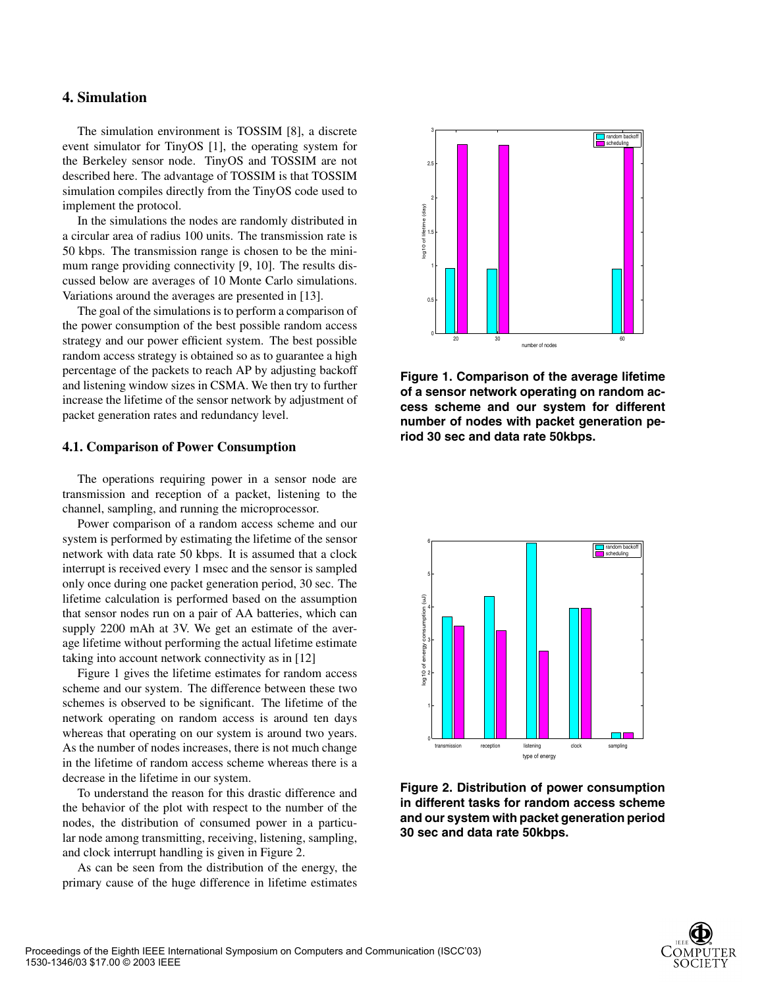## **4. Simulation**

The simulation environment is TOSSIM [8], a discrete event simulator for TinyOS [1], the operating system for the Berkeley sensor node. TinyOS and TOSSIM are not described here. The advantage of TOSSIM is that TOSSIM simulation compiles directly from the TinyOS code used to implement the protocol.

In the simulations the nodes are randomly distributed in a circular area of radius 100 units. The transmission rate is 50 kbps. The transmission range is chosen to be the minimum range providing connectivity [9, 10]. The results discussed below are averages of 10 Monte Carlo simulations. Variations around the averages are presented in [13].

The goal of the simulations is to perform a comparison of the power consumption of the best possible random access strategy and our power efficient system. The best possible random access strategy is obtained so as to guarantee a high percentage of the packets to reach AP by adjusting backoff and listening window sizes in CSMA. We then try to further increase the lifetime of the sensor network by adjustment of packet generation rates and redundancy level.

#### **4.1. Comparison of Power Consumption**

The operations requiring power in a sensor node are transmission and reception of a packet, listening to the channel, sampling, and running the microprocessor.

Power comparison of a random access scheme and our system is performed by estimating the lifetime of the sensor network with data rate 50 kbps. It is assumed that a clock interrupt is received every 1 msec and the sensor is sampled only once during one packet generation period, 30 sec. The lifetime calculation is performed based on the assumption that sensor nodes run on a pair of AA batteries, which can supply 2200 mAh at 3V. We get an estimate of the average lifetime without performing the actual lifetime estimate taking into account network connectivity as in [12]

Figure 1 gives the lifetime estimates for random access scheme and our system. The difference between these two schemes is observed to be significant. The lifetime of the network operating on random access is around ten days whereas that operating on our system is around two years. As the number of nodes increases, there is not much change in the lifetime of random access scheme whereas there is a decrease in the lifetime in our system.

To understand the reason for this drastic difference and the behavior of the plot with respect to the number of the nodes, the distribution of consumed power in a particular node among transmitting, receiving, listening, sampling, and clock interrupt handling is given in Figure 2.

As can be seen from the distribution of the energy, the primary cause of the huge difference in lifetime estimates



**Figure 1. Comparison of the average lifetime of a sensor network operating on random access scheme and our system for different number of nodes with packet generation period 30 sec and data rate 50kbps.**



**Figure 2. Distribution of power consumption in different tasks for random access scheme and our system with packet generation period 30 sec and data rate 50kbps.**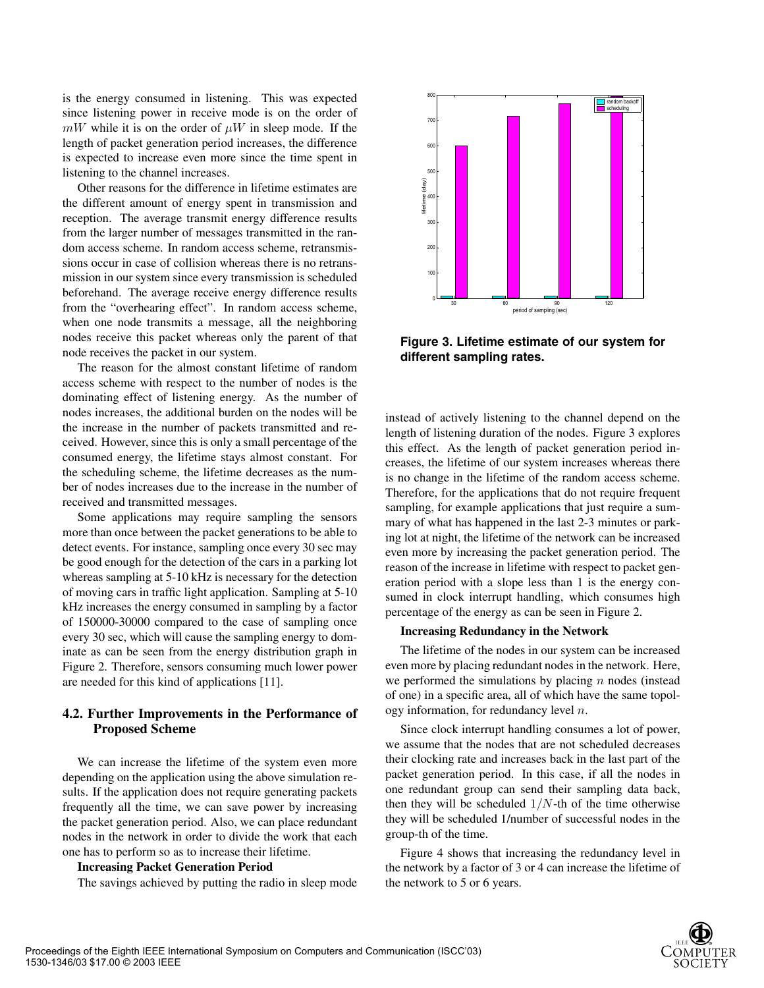is the energy consumed in listening. This was expected since listening power in receive mode is on the order of *mW* while it is on the order of  $\mu$ *W* in sleep mode. If the length of packet generation period increases, the difference is expected to increase even more since the time spent in listening to the channel increases.

Other reasons for the difference in lifetime estimates are the different amount of energy spent in transmission and reception. The average transmit energy difference results from the larger number of messages transmitted in the random access scheme. In random access scheme, retransmissions occur in case of collision whereas there is no retransmission in our system since every transmission is scheduled beforehand. The average receive energy difference results from the "overhearing effect". In random access scheme, when one node transmits a message, all the neighboring nodes receive this packet whereas only the parent of that node receives the packet in our system.

The reason for the almost constant lifetime of random access scheme with respect to the number of nodes is the dominating effect of listening energy. As the number of nodes increases, the additional burden on the nodes will be the increase in the number of packets transmitted and received. However, since this is only a small percentage of the consumed energy, the lifetime stays almost constant. For the scheduling scheme, the lifetime decreases as the number of nodes increases due to the increase in the number of received and transmitted messages.

Some applications may require sampling the sensors more than once between the packet generations to be able to detect events. For instance, sampling once every 30 sec may be good enough for the detection of the cars in a parking lot whereas sampling at 5-10 kHz is necessary for the detection of moving cars in traffic light application. Sampling at 5-10 kHz increases the energy consumed in sampling by a factor of 150000-30000 compared to the case of sampling once every 30 sec, which will cause the sampling energy to dominate as can be seen from the energy distribution graph in Figure 2. Therefore, sensors consuming much lower power are needed for this kind of applications [11].

### **4.2. Further Improvements in the Performance of Proposed Scheme**

We can increase the lifetime of the system even more depending on the application using the above simulation results. If the application does not require generating packets frequently all the time, we can save power by increasing the packet generation period. Also, we can place redundant nodes in the network in order to divide the work that each one has to perform so as to increase their lifetime.

#### **Increasing Packet Generation Period**

The savings achieved by putting the radio in sleep mode



**Figure 3. Lifetime estimate of our system for different sampling rates.**

instead of actively listening to the channel depend on the length of listening duration of the nodes. Figure 3 explores this effect. As the length of packet generation period increases, the lifetime of our system increases whereas there is no change in the lifetime of the random access scheme. Therefore, for the applications that do not require frequent sampling, for example applications that just require a summary of what has happened in the last 2-3 minutes or parking lot at night, the lifetime of the network can be increased even more by increasing the packet generation period. The reason of the increase in lifetime with respect to packet generation period with a slope less than 1 is the energy consumed in clock interrupt handling, which consumes high percentage of the energy as can be seen in Figure 2.

#### **Increasing Redundancy in the Network**

The lifetime of the nodes in our system can be increased even more by placing redundant nodes in the network. Here, we performed the simulations by placing *n* nodes (instead of one) in a specific area, all of which have the same topology information, for redundancy level *n*.

Since clock interrupt handling consumes a lot of power, we assume that the nodes that are not scheduled decreases their clocking rate and increases back in the last part of the packet generation period. In this case, if all the nodes in one redundant group can send their sampling data back, then they will be scheduled  $1/N$ -th of the time otherwise they will be scheduled 1/number of successful nodes in the group-th of the time.

Figure 4 shows that increasing the redundancy level in the network by a factor of 3 or 4 can increase the lifetime of the network to 5 or 6 years.